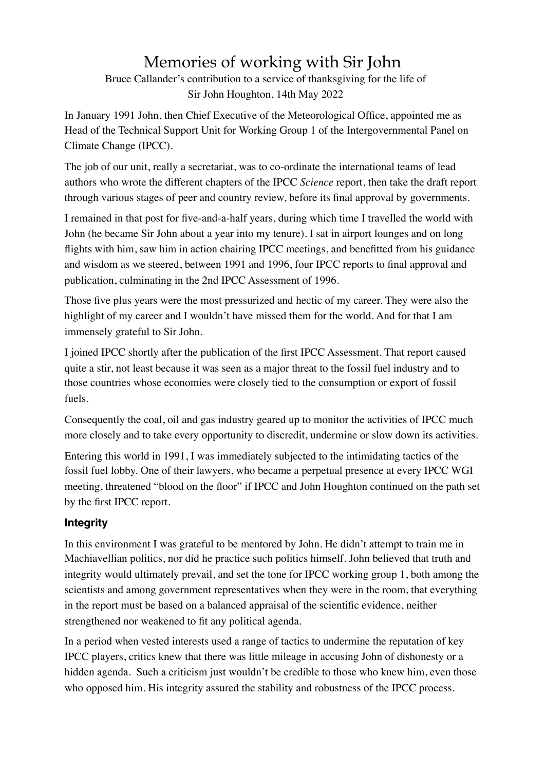# Memories of working with Sir John

Bruce Callander's contribution to a service of thanksgiving for the life of Sir John Houghton, 14th May 2022

In January 1991 John, then Chief Executive of the Meteorological Office, appointed me as Head of the Technical Support Unit for Working Group 1 of the Intergovernmental Panel on Climate Change (IPCC).

The job of our unit, really a secretariat, was to co-ordinate the international teams of lead authors who wrote the different chapters of the IPCC *Science* report, then take the draft report through various stages of peer and country review, before its final approval by governments.

I remained in that post for five-and-a-half years, during which time I travelled the world with John (he became Sir John about a year into my tenure). I sat in airport lounges and on long flights with him, saw him in action chairing IPCC meetings, and benefitted from his guidance and wisdom as we steered, between 1991 and 1996, four IPCC reports to final approval and publication, culminating in the 2nd IPCC Assessment of 1996.

Those five plus years were the most pressurized and hectic of my career. They were also the highlight of my career and I wouldn't have missed them for the world. And for that I am immensely grateful to Sir John.

I joined IPCC shortly after the publication of the first IPCC Assessment. That report caused quite a stir, not least because it was seen as a major threat to the fossil fuel industry and to those countries whose economies were closely tied to the consumption or export of fossil fuels.

Consequently the coal, oil and gas industry geared up to monitor the activities of IPCC much more closely and to take every opportunity to discredit, undermine or slow down its activities.

Entering this world in 1991, I was immediately subjected to the intimidating tactics of the fossil fuel lobby. One of their lawyers, who became a perpetual presence at every IPCC WGI meeting, threatened "blood on the floor" if IPCC and John Houghton continued on the path set by the first IPCC report.

# **Integrity**

In this environment I was grateful to be mentored by John. He didn't attempt to train me in Machiavellian politics, nor did he practice such politics himself. John believed that truth and integrity would ultimately prevail, and set the tone for IPCC working group 1, both among the scientists and among government representatives when they were in the room, that everything in the report must be based on a balanced appraisal of the scientific evidence, neither strengthened nor weakened to fit any political agenda.

In a period when vested interests used a range of tactics to undermine the reputation of key IPCC players, critics knew that there was little mileage in accusing John of dishonesty or a hidden agenda. Such a criticism just wouldn't be credible to those who knew him, even those who opposed him. His integrity assured the stability and robustness of the IPCC process.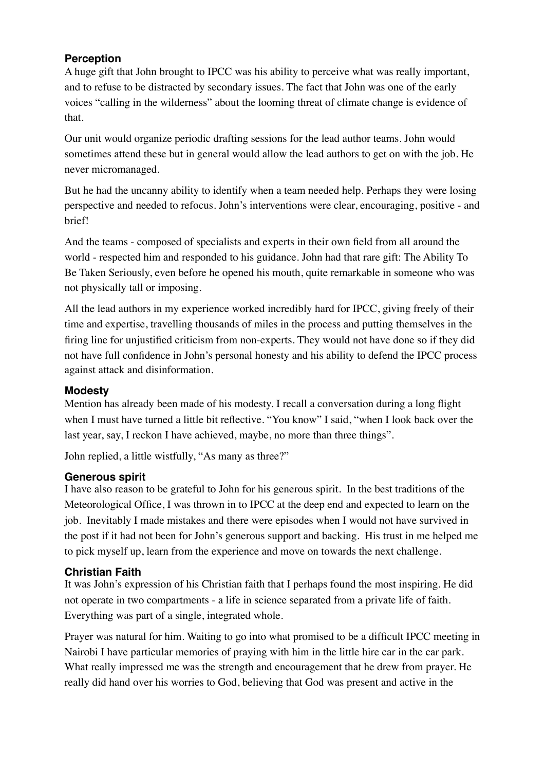# **Perception**

A huge gift that John brought to IPCC was his ability to perceive what was really important, and to refuse to be distracted by secondary issues. The fact that John was one of the early voices "calling in the wilderness" about the looming threat of climate change is evidence of that.

Our unit would organize periodic drafting sessions for the lead author teams. John would sometimes attend these but in general would allow the lead authors to get on with the job. He never micromanaged.

But he had the uncanny ability to identify when a team needed help. Perhaps they were losing perspective and needed to refocus. John's interventions were clear, encouraging, positive - and brief!

And the teams - composed of specialists and experts in their own field from all around the world - respected him and responded to his guidance. John had that rare gift: The Ability To Be Taken Seriously, even before he opened his mouth, quite remarkable in someone who was not physically tall or imposing.

All the lead authors in my experience worked incredibly hard for IPCC, giving freely of their time and expertise, travelling thousands of miles in the process and putting themselves in the firing line for unjustified criticism from non-experts. They would not have done so if they did not have full confidence in John's personal honesty and his ability to defend the IPCC process against attack and disinformation.

### **Modesty**

Mention has already been made of his modesty. I recall a conversation during a long flight when I must have turned a little bit reflective. "You know" I said, "when I look back over the last year, say, I reckon I have achieved, maybe, no more than three things".

John replied, a little wistfully, "As many as three?"

# **Generous spirit**

I have also reason to be grateful to John for his generous spirit. In the best traditions of the Meteorological Office, I was thrown in to IPCC at the deep end and expected to learn on the job. Inevitably I made mistakes and there were episodes when I would not have survived in the post if it had not been for John's generous support and backing. His trust in me helped me to pick myself up, learn from the experience and move on towards the next challenge.

# **Christian Faith**

It was John's expression of his Christian faith that I perhaps found the most inspiring. He did not operate in two compartments - a life in science separated from a private life of faith. Everything was part of a single, integrated whole.

Prayer was natural for him. Waiting to go into what promised to be a difficult IPCC meeting in Nairobi I have particular memories of praying with him in the little hire car in the car park. What really impressed me was the strength and encouragement that he drew from prayer. He really did hand over his worries to God, believing that God was present and active in the